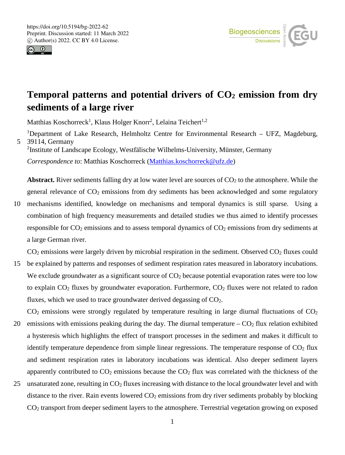



# Temporal patterns and potential drivers of  $CO<sub>2</sub>$  emission from dry **sediments of a large river**

Matthias Koschorreck<sup>1</sup>, Klaus Holger Knorr<sup>2</sup>, Lelaina Teichert<sup>1,2</sup>

<sup>1</sup>Department of Lake Research, Helmholtz Centre for Environmental Research – UFZ, Magdeburg, 5 39114, Germany

2 Institute of Landscape Ecology, Westfälische Wilhelms-University, Münster, Germany

*Correspondence to*: Matthias Koschorreck (Matthias.koschorreck@ufz.de)

**Abstract.** River sediments falling dry at low water level are sources of  $CO<sub>2</sub>$  to the atmosphere. While the general relevance of CO<sub>2</sub> emissions from dry sediments has been acknowledged and some regulatory

10 mechanisms identified, knowledge on mechanisms and temporal dynamics is still sparse. Using a combination of high frequency measurements and detailed studies we thus aimed to identify processes responsible for CO<sub>2</sub> emissions and to assess temporal dynamics of CO<sub>2</sub> emissions from dry sediments at a large German river.

CO<sub>2</sub> emissions were largely driven by microbial respiration in the sediment. Observed CO<sub>2</sub> fluxes could

15 be explained by patterns and responses of sediment respiration rates measured in laboratory incubations. We exclude groundwater as a significant source of  $CO<sub>2</sub>$  because potential evaporation rates were too low to explain  $CO<sub>2</sub>$  fluxes by groundwater evaporation. Furthermore,  $CO<sub>2</sub>$  fluxes were not related to radon fluxes, which we used to trace groundwater derived degassing of  $CO<sub>2</sub>$ .

 $CO<sub>2</sub>$  emissions were strongly regulated by temperature resulting in large diurnal fluctuations of  $CO<sub>2</sub>$ 20 emissions with emissions peaking during the day. The diurnal temperature  $-CO<sub>2</sub>$  flux relation exhibited a hysteresis which highlights the effect of transport processes in the sediment and makes it difficult to identify temperature dependence from simple linear regressions. The temperature response of  $CO<sub>2</sub>$  flux and sediment respiration rates in laboratory incubations was identical. Also deeper sediment layers apparently contributed to  $CO<sub>2</sub>$  emissions because the  $CO<sub>2</sub>$  flux was correlated with the thickness of the

25 unsaturated zone, resulting in  $CO<sub>2</sub>$  fluxes increasing with distance to the local groundwater level and with distance to the river. Rain events lowered  $CO<sub>2</sub>$  emissions from dry river sediments probably by blocking CO2 transport from deeper sediment layers to the atmosphere. Terrestrial vegetation growing on exposed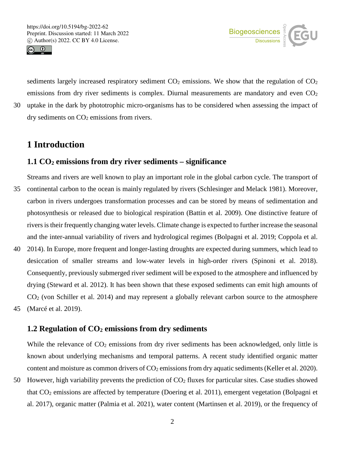



sediments largely increased respiratory sediment  $CO<sub>2</sub>$  emissions. We show that the regulation of  $CO<sub>2</sub>$ emissions from dry river sediments is complex. Diurnal measurements are mandatory and even  $CO<sub>2</sub>$ 30 uptake in the dark by phototrophic micro-organisms has to be considered when assessing the impact of  $\frac{dy}{dx}$  dry sediments on  $CO<sub>2</sub>$  emissions from rivers.

## **1 Introduction**

### **1.1 CO2 emissions from dry river sediments – significance**

- Streams and rivers are well known to play an important role in the global carbon cycle. The transport of 35 continental carbon to the ocean is mainly regulated by rivers (Schlesinger and Melack 1981). Moreover, carbon in rivers undergoes transformation processes and can be stored by means of sedimentation and photosynthesis or released due to biological respiration (Battin et al. 2009). One distinctive feature of rivers is their frequently changing water levels. Climate change is expected to further increase the seasonal and the inter-annual variability of rivers and hydrological regimes (Bolpagni et al. 2019; Coppola et al.
- 40 2014). In Europe, more frequent and longer-lasting droughts are expected during summers, which lead to desiccation of smaller streams and low-water levels in high-order rivers (Spinoni et al. 2018). Consequently, previously submerged river sediment will be exposed to the atmosphere and influenced by drying (Steward et al. 2012). It has been shown that these exposed sediments can emit high amounts of CO2 (von Schiller et al. 2014) and may represent a globally relevant carbon source to the atmosphere 45 (Marcé et al. 2019).

### **1.2 Regulation of CO2 emissions from dry sediments**

While the relevance of  $CO<sub>2</sub>$  emissions from dry river sediments has been acknowledged, only little is known about underlying mechanisms and temporal patterns. A recent study identified organic matter content and moisture as common drivers of CO<sub>2</sub> emissions from dry aquatic sediments (Keller et al. 2020).

50 However, high variability prevents the prediction of  $CO<sub>2</sub>$  fluxes for particular sites. Case studies showed that CO2 emissions are affected by temperature (Doering et al. 2011), emergent vegetation (Bolpagni et al. 2017), organic matter (Palmia et al. 2021), water content (Martinsen et al. 2019), or the frequency of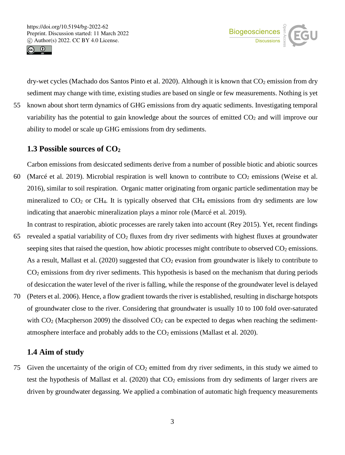



dry-wet cycles (Machado dos Santos Pinto et al. 2020). Although it is known that  $CO<sub>2</sub>$  emission from dry sediment may change with time, existing studies are based on single or few measurements. Nothing is yet 55 known about short term dynamics of GHG emissions from dry aquatic sediments. Investigating temporal variability has the potential to gain knowledge about the sources of emitted  $CO<sub>2</sub>$  and will improve our ability to model or scale up GHG emissions from dry sediments.

### **1.3 Possible sources of CO2**

Carbon emissions from desiccated sediments derive from a number of possible biotic and abiotic sources 60 (Marcé et al. 2019). Microbial respiration is well known to contribute to  $CO<sub>2</sub>$  emissions (Weise et al. 2016), similar to soil respiration. Organic matter originating from organic particle sedimentation may be mineralized to  $CO<sub>2</sub>$  or CH<sub>4</sub>. It is typically observed that CH<sub>4</sub> emissions from dry sediments are low indicating that anaerobic mineralization plays a minor role (Marcé et al. 2019).

- In contrast to respiration, abiotic processes are rarely taken into account (Rey 2015). Yet, recent findings 65 revealed a spatial variability of  $CO<sub>2</sub>$  fluxes from dry river sediments with highest fluxes at groundwater seeping sites that raised the question, how abiotic processes might contribute to observed CO<sub>2</sub> emissions. As a result, Mallast et al. (2020) suggested that  $CO<sub>2</sub>$  evasion from groundwater is likely to contribute to CO2 emissions from dry river sediments. This hypothesis is based on the mechanism that during periods of desiccation the water level of the river is falling, while the response of the groundwater level is delayed
- 70 (Peters et al. 2006). Hence, a flow gradient towards the river is established, resulting in discharge hotspots of groundwater close to the river. Considering that groundwater is usually 10 to 100 fold over-saturated with  $CO<sub>2</sub>$  (Macpherson 2009) the dissolved  $CO<sub>2</sub>$  can be expected to degas when reaching the sedimentatmosphere interface and probably adds to the  $CO<sub>2</sub>$  emissions (Mallast et al. 2020).

### **1.4 Aim of study**

75 Given the uncertainty of the origin of  $CO<sub>2</sub>$  emitted from dry river sediments, in this study we aimed to test the hypothesis of Mallast et al.  $(2020)$  that  $CO<sub>2</sub>$  emissions from dry sediments of larger rivers are driven by groundwater degassing. We applied a combination of automatic high frequency measurements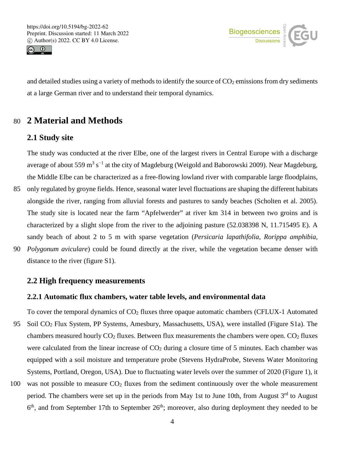



and detailed studies using a variety of methods to identify the source of  $CO<sub>2</sub>$  emissions from dry sediments at a large German river and to understand their temporal dynamics.

## 80 **2 Material and Methods**

## **2.1 Study site**

The study was conducted at the river Elbe, one of the largest rivers in Central Europe with a discharge average of about 559 m<sup>3</sup> s<sup>-1</sup> at the city of Magdeburg (Weigold and Baborowski 2009). Near Magdeburg, the Middle Elbe can be characterized as a free-flowing lowland river with comparable large floodplains, 85 only regulated by groyne fields. Hence, seasonal water level fluctuations are shaping the different habitats alongside the river, ranging from alluvial forests and pastures to sandy beaches (Scholten et al. 2005). The study site is located near the farm "Apfelwerder" at river km 314 in between two groins and is characterized by a slight slope from the river to the adjoining pasture (52.038398 N, 11.715495 E). A sandy beach of about 2 to 5 m with sparse vegetation (*Persicaria lapathifolia, Rorippa amphibia,*  90 *Polygonum aviculare*) could be found directly at the river, while the vegetation became denser with distance to the river (figure S1).

#### **2.2 High frequency measurements**

#### **2.2.1 Automatic flux chambers, water table levels, and environmental data**

To cover the temporal dynamics of  $CO<sub>2</sub>$  fluxes three opaque automatic chambers (CFLUX-1 Automated 95 Soil CO2 Flux System, PP Systems, Amesbury, Massachusetts, USA), were installed (Figure S1a). The chambers measured hourly  $CO<sub>2</sub>$  fluxes. Between flux measurements the chambers were open.  $CO<sub>2</sub>$  fluxes were calculated from the linear increase of  $CO<sub>2</sub>$  during a closure time of 5 minutes. Each chamber was equipped with a soil moisture and temperature probe (Stevens HydraProbe, Stevens Water Monitoring Systems, Portland, Oregon, USA). Due to fluctuating water levels over the summer of 2020 (Figure 1), it

100 was not possible to measure  $CO<sub>2</sub>$  fluxes from the sediment continuously over the whole measurement period. The chambers were set up in the periods from May 1st to June 10th, from August 3<sup>rd</sup> to August  $6<sup>th</sup>$ , and from September 17th to September  $26<sup>th</sup>$ ; moreover, also during deployment they needed to be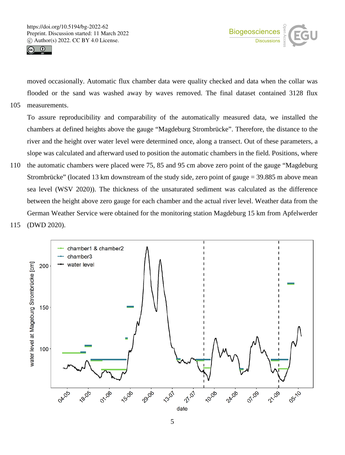



moved occasionally. Automatic flux chamber data were quality checked and data when the collar was flooded or the sand was washed away by waves removed. The final dataset contained 3128 flux 105 measurements.

To assure reproducibility and comparability of the automatically measured data, we installed the chambers at defined heights above the gauge "Magdeburg Strombrücke". Therefore, the distance to the river and the height over water level were determined once, along a transect. Out of these parameters, a slope was calculated and afterward used to position the automatic chambers in the field. Positions, where

110 the automatic chambers were placed were 75, 85 and 95 cm above zero point of the gauge "Magdeburg Strombrücke" (located 13 km downstream of the study side, zero point of gauge = 39.885 m above mean sea level (WSV 2020)). The thickness of the unsaturated sediment was calculated as the difference between the height above zero gauge for each chamber and the actual river level. Weather data from the German Weather Service were obtained for the monitoring station Magdeburg 15 km from Apfelwerder 115 (DWD 2020).

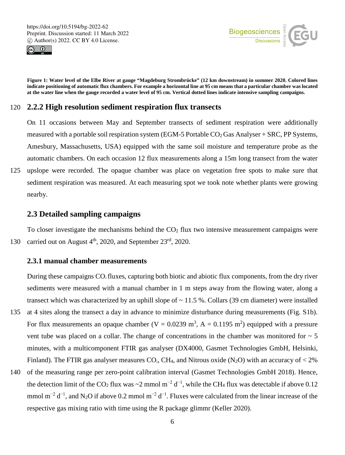



**Figure 1: Water level of the Elbe River at gauge "Magdeburg Strombrücke" (12 km downstream) in summer 2020. Colored lines indicate positioning of automatic flux chambers. For example a horizontal line at 95 cm means that a particular chamber was located at the water line when the gauge recorded a water level of 95 cm. Vertical dotted lines indicate intensive sampling campaigns.**

#### 120 **2.2.2 High resolution sediment respiration flux transects**

On 11 occasions between May and September transects of sediment respiration were additionally measured with a portable soil respiration system (EGM-5 Portable  $CO<sub>2</sub>$  Gas Analyser + SRC, PP Systems, Amesbury, Massachusetts, USA) equipped with the same soil moisture and temperature probe as the automatic chambers. On each occasion 12 flux measurements along a 15m long transect from the water

125 upslope were recorded. The opaque chamber was place on vegetation free spots to make sure that sediment respiration was measured. At each measuring spot we took note whether plants were growing nearby.

#### **2.3 Detailed sampling campaigns**

To closer investigate the mechanisms behind the  $CO<sub>2</sub>$  flux two intensive measurement campaigns were 130 carried out on August  $4<sup>th</sup>$ , 2020, and September 23<sup>rd</sup>, 2020.

#### **2.3.1 manual chamber measurements**

During these campaigns  $CO<sub>2</sub>$  fluxes, capturing both biotic and abiotic flux components, from the dry river sediments were measured with a manual chamber in 1 m steps away from the flowing water, along a transect which was characterized by an uphill slope of  $\sim$  11.5 %. Collars (39 cm diameter) were installed 135 at 4 sites along the transect a day in advance to minimize disturbance during measurements (Fig. S1b). For flux measurements an opaque chamber (V = 0.0239 m<sup>3</sup>, A = 0.1195 m<sup>2</sup>) equipped with a pressure vent tube was placed on a collar. The change of concentrations in the chamber was monitored for  $\sim$  5 minutes, with a multicomponent FTIR gas analyser (DX4000, Gasmet Technologies GmbH, Helsinki, Finland). The FTIR gas analyser measures CO<sub>2</sub>, CH<sub>4</sub>, and Nitrous oxide (N<sub>2</sub>O) with an accuracy of  $\lt 2\%$ 

140 of the measuring range per zero-point calibration interval (Gasmet Technologies GmbH 2018). Hence, the detection limit of the CO<sub>2</sub> flux was ~2 mmol m<sup>-2</sup> d<sup>-1</sup>, while the CH<sub>4</sub> flux was detectable if above 0.12 mmol m<sup>-2</sup> d<sup>-1</sup>, and N<sub>2</sub>O if above 0.2 mmol m<sup>-2</sup> d<sup>-1</sup>. Fluxes were calculated from the linear increase of the respective gas mixing ratio with time using the R package glimmr (Keller 2020).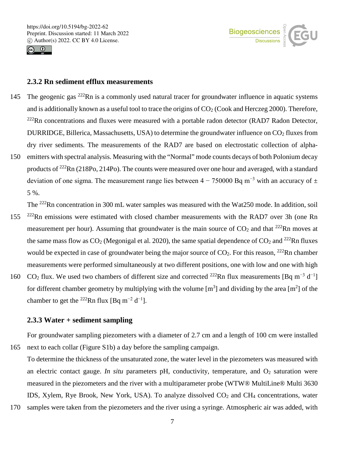



#### **2.3.2 Rn sediment efflux measurements**

- 145 The geogenic gas  $^{222}$ Rn is a commonly used natural tracer for groundwater influence in aquatic systems and is additionally known as a useful tool to trace the origins of  $CO<sub>2</sub>$  (Cook and Herczeg 2000). Therefore,  $^{222}$ Rn concentrations and fluxes were measured with a portable radon detector (RAD7 Radon Detector, DURRIDGE, Billerica, Massachusetts, USA) to determine the groundwater influence on CO<sub>2</sub> fluxes from dry river sediments. The measurements of the RAD7 are based on electrostatic collection of alpha-150 emitters with spectral analysis. Measuring with the "Normal" mode counts decays of both Polonium decay
- products of 222Rn (218Po, 214Po). The counts were measured over one hour and averaged, with a standard deviation of one sigma. The measurement range lies between  $4 - 750000$  Bq m<sup>-3</sup> with an accuracy of  $\pm$ 5 %.

The <sup>222</sup>Rn concentration in 300 mL water samples was measured with the Wat250 mode. In addition, soil

- 155 <sup>222</sup>Rn emissions were estimated with closed chamber measurements with the RAD7 over 3h (one Rn measurement per hour). Assuming that groundwater is the main source of  $CO<sub>2</sub>$  and that <sup>222</sup>Rn moves at the same mass flow as  $CO_2$  (Megonigal et al. 2020), the same spatial dependence of  $CO_2$  and  $^{222}$ Rn fluxes would be expected in case of groundwater being the major source of  $CO_2$ . For this reason, <sup>222</sup>Rn chamber measurements were performed simultaneously at two different positions, one with low and one with high
- 160 CO<sub>2</sub> flux. We used two chambers of different size and corrected <sup>222</sup>Rn flux measurements [Bq m<sup>-3</sup> d<sup>-1</sup>] for different chamber geometry by multiplying with the volume  $[m^3]$  and dividing by the area  $[m^2]$  of the chamber to get the <sup>222</sup>Rn flux [Bq m<sup>-2</sup> d<sup>-1</sup>].

#### **2.3.3 Water + sediment sampling**

For groundwater sampling piezometers with a diameter of 2.7 cm and a length of 100 cm were installed 165 next to each collar (Figure S1b) a day before the sampling campaign.

To determine the thickness of the unsaturated zone, the water level in the piezometers was measured with an electric contact gauge. *In situ* parameters pH, conductivity, temperature, and  $O_2$  saturation were measured in the piezometers and the river with a multiparameter probe (WTW® MultiLine® Multi 3630 IDS, Xylem, Rye Brook, New York, USA). To analyze dissolved CO2 and CH4 concentrations, water

170 samples were taken from the piezometers and the river using a syringe. Atmospheric air was added, with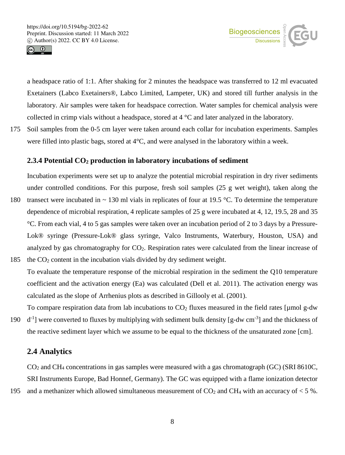



a headspace ratio of 1:1. After shaking for 2 minutes the headspace was transferred to 12 ml evacuated Exetainers (Labco Exetainers®, Labco Limited, Lampeter, UK) and stored till further analysis in the laboratory. Air samples were taken for headspace correction. Water samples for chemical analysis were collected in crimp vials without a headspace, stored at 4 °C and later analyzed in the laboratory.

175 Soil samples from the 0-5 cm layer were taken around each collar for incubation experiments. Samples were filled into plastic bags, stored at 4°C, and were analysed in the laboratory within a week.

#### **2.3.4 Potential CO2 production in laboratory incubations of sediment**

Incubation experiments were set up to analyze the potential microbial respiration in dry river sediments under controlled conditions. For this purpose, fresh soil samples (25 g wet weight), taken along the

- 180 transect were incubated in ~ 130 ml vials in replicates of four at 19.5 °C. To determine the temperature dependence of microbial respiration, 4 replicate samples of 25 g were incubated at 4, 12, 19.5, 28 and 35 °C. From each vial, 4 to 5 gas samples were taken over an incubation period of 2 to 3 days by a Pressure-Lok® syringe (Pressure-Lok® glass syringe, Valco Instruments, Waterbury, Houston, USA) and analyzed by gas chromatography for CO<sub>2</sub>. Respiration rates were calculated from the linear increase of 185 the CO2 content in the incubation vials divided by dry sediment weight.
- To evaluate the temperature response of the microbial respiration in the sediment the Q10 temperature coefficient and the activation energy (Ea) was calculated (Dell et al. 2011). The activation energy was calculated as the slope of Arrhenius plots as described in Gillooly et al. (2001).
- To compare respiration data from lab incubations to  $CO<sub>2</sub>$  fluxes measured in the field rates [µmol g-dw 190  $d^{-1}$ ] were converted to fluxes by multiplying with sediment bulk density [g-dw cm<sup>-3</sup>] and the thickness of the reactive sediment layer which we assume to be equal to the thickness of the unsaturated zone [cm].

#### **2.4 Analytics**

CO2 and CH4 concentrations in gas samples were measured with a gas chromatograph (GC) (SRI 8610C, SRI Instruments Europe, Bad Honnef, Germany). The GC was equipped with a flame ionization detector 195 and a methanizer which allowed simultaneous measurement of  $CO<sub>2</sub>$  and CH<sub>4</sub> with an accuracy of  $<$  5 %.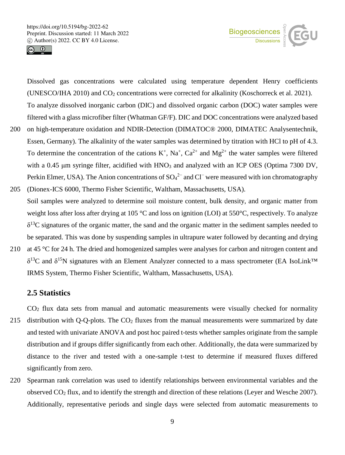



Dissolved gas concentrations were calculated using temperature dependent Henry coefficients (UNESCO/IHA 2010) and CO2 concentrations were corrected for alkalinity (Koschorreck et al. 2021). To analyze dissolved inorganic carbon (DIC) and dissolved organic carbon (DOC) water samples were filtered with a glass microfiber filter (Whatman GF/F). DIC and DOC concentrations were analyzed based

- 200 on high-temperature oxidation and NDIR-Detection (DIMATOC® 2000, DIMATEC Analysentechnik, Essen, Germany). The alkalinity of the water samples was determined by titration with HCl to pH of 4.3. To determine the concentration of the cations  $K^+$ ,  $Na^+$ ,  $Ca^{2+}$  and  $Mg^{2+}$  the water samples were filtered with a 0.45 μm syringe filter, acidified with HNO<sub>3</sub> and analyzed with an ICP OES (Optima 7300 DV, Perkin Elmer, USA). The Anion concentrations of  $SO_4^2$  and  $Cl^-$  were measured with ion chromatography
- 205 (Dionex-ICS 6000, Thermo Fisher Scientific, Waltham, Massachusetts, USA). Soil samples were analyzed to determine soil moisture content, bulk density, and organic matter from weight loss after loss after drying at 105 °C and loss on ignition (LOI) at 550°C, respectively. To analyze  $\delta^{13}$ C signatures of the organic matter, the sand and the organic matter in the sediment samples needed to be separated. This was done by suspending samples in ultrapure water followed by decanting and drying
- 210 at 45 °C for 24 h. The dried and homogenized samples were analyses for carbon and nitrogen content and δ<sup>13</sup>C and δ<sup>15</sup>N signatures with an Element Analyzer connected to a mass spectrometer (EA IsoLink<sup>™</sup> IRMS System, Thermo Fisher Scientific, Waltham, Massachusetts, USA).

## **2.5 Statistics**

CO2 flux data sets from manual and automatic measurements were visually checked for normality 215 distribution with Q-Q-plots. The CO<sub>2</sub> fluxes from the manual measurements were summarized by date and tested with univariate ANOVA and post hoc paired t-tests whether samples originate from the sample distribution and if groups differ significantly from each other. Additionally, the data were summarized by distance to the river and tested with a one-sample t-test to determine if measured fluxes differed significantly from zero.

220 Spearman rank correlation was used to identify relationships between environmental variables and the observed CO2 flux, and to identify the strength and direction of these relations (Leyer and Wesche 2007). Additionally, representative periods and single days were selected from automatic measurements to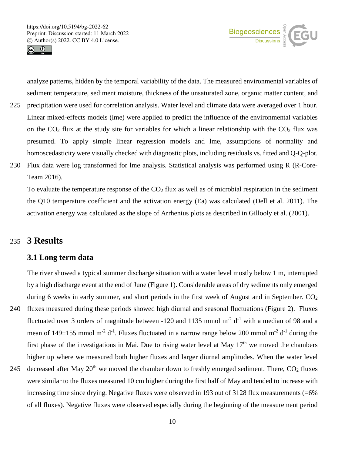



analyze patterns, hidden by the temporal variability of the data. The measured environmental variables of sediment temperature, sediment moisture, thickness of the unsaturated zone, organic matter content, and

- 225 precipitation were used for correlation analysis. Water level and climate data were averaged over 1 hour. Linear mixed-effects models (lme) were applied to predict the influence of the environmental variables on the  $CO_2$  flux at the study site for variables for which a linear relationship with the  $CO_2$  flux was presumed. To apply simple linear regression models and lme, assumptions of normality and homoscedasticity were visually checked with diagnostic plots, including residuals vs. fitted and Q-Q-plot.
- 230 Flux data were log transformed for lme analysis. Statistical analysis was performed using R (R-Core-Team 2016).

To evaluate the temperature response of the  $CO<sub>2</sub>$  flux as well as of microbial respiration in the sediment the Q10 temperature coefficient and the activation energy (Ea) was calculated (Dell et al. 2011). The activation energy was calculated as the slope of Arrhenius plots as described in Gillooly et al. (2001).

## 235 **3 Results**

### **3.1 Long term data**

The river showed a typical summer discharge situation with a water level mostly below 1 m, interrupted by a high discharge event at the end of June (Figure 1). Considerable areas of dry sediments only emerged during 6 weeks in early summer, and short periods in the first week of August and in September.  $CO<sub>2</sub>$ 

- 240 fluxes measured during these periods showed high diurnal and seasonal fluctuations (Figure 2). Fluxes fluctuated over 3 orders of magnitude between -120 and 1135 mmol  $m<sup>-2</sup> d<sup>-1</sup>$  with a median of 98 and a mean of  $149\pm155$  mmol m<sup>-2</sup> d<sup>-1</sup>. Fluxes fluctuated in a narrow range below 200 mmol m<sup>-2</sup> d<sup>-1</sup> during the first phase of the investigations in Mai. Due to rising water level at May  $17<sup>th</sup>$  we moved the chambers higher up where we measured both higher fluxes and larger diurnal amplitudes. When the water level
- 245 decreased after May  $20<sup>th</sup>$  we moved the chamber down to freshly emerged sediment. There,  $CO<sub>2</sub>$  fluxes were similar to the fluxes measured 10 cm higher during the first half of May and tended to increase with increasing time since drying. Negative fluxes were observed in 193 out of 3128 flux measurements (=6%) of all fluxes). Negative fluxes were observed especially during the beginning of the measurement period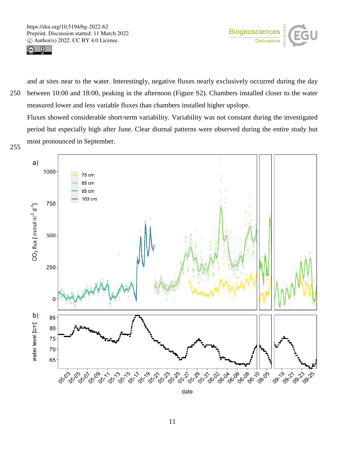



and at sites near to the water. Interestingly, negative fluxes nearly exclusively occurred during the day 250 between 10:00 and 18:00, peaking in the afternoon (Figure S2). Chambers installed closer to the water measured lower and less variable fluxes than chambers installed higher upslope.

Fluxes showed considerable short-term variability. Variability was not constant during the investigated period but especially high after June. Clear diurnal patterns were observed during the entire study but most pronounced in September.<br>255



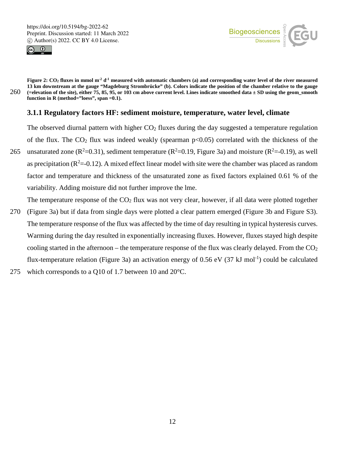



**Figure 2: CO2 fluxes in mmol m-2 d-1 measured with automatic chambers (a) and corresponding water level of the river measured 13 km downstream at the gauge "Magdeburg Strombrücke" (b). Colors indicate the position of the chamber relative to the gauge**  260 **(=elevation of the site), either 75, 85, 95, or 103 cm above current level. Lines indicate smoothed data ± SD using the geom\_smooth function in R (method="loess", span =0.1).**

#### **3.1.1 Regulatory factors HF: sediment moisture, temperature, water level, climate**

The observed diurnal pattern with higher  $CO<sub>2</sub>$  fluxes during the day suggested a temperature regulation of the flux. The  $CO<sub>2</sub>$  flux was indeed weakly (spearman  $p<0.05$ ) correlated with the thickness of the

265 unsaturated zone ( $R^2$ =0.31), sediment temperature ( $R^2$ =0.19, Figure 3a) and moisture ( $R^2$ =-0.19), as well as precipitation ( $R^2$ =-0.12). A mixed effect linear model with site were the chamber was placed as random factor and temperature and thickness of the unsaturated zone as fixed factors explained 0.61 % of the variability. Adding moisture did not further improve the lme.

The temperature response of the  $CO<sub>2</sub>$  flux was not very clear, however, if all data were plotted together

- 270 (Figure 3a) but if data from single days were plotted a clear pattern emerged (Figure 3b and Figure S3). The temperature response of the flux was affected by the time of day resulting in typical hysteresis curves. Warming during the day resulted in exponentially increasing fluxes. However, fluxes stayed high despite cooling started in the afternoon – the temperature response of the flux was clearly delayed. From the  $CO<sub>2</sub>$ flux-temperature relation (Figure 3a) an activation energy of 0.56 eV (37 kJ mol<sup>-1</sup>) could be calculated
- 275 which corresponds to a Q10 of 1.7 between 10 and 20°C.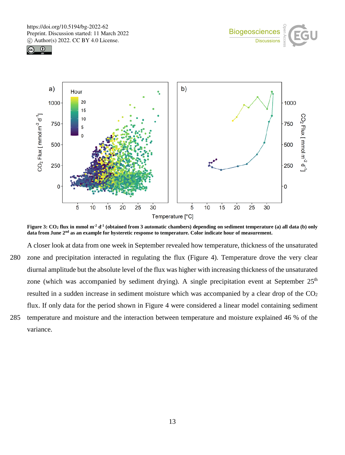





**Figure 3: CO2 flux in mmol m-2 d-1 (obtained from 3 automatic chambers) depending on sediment temperature (a) all data (b) only data from June 2nd as an example for hysteretic response to temperature. Color indicate hour of measurement.**

A closer look at data from one week in September revealed how temperature, thickness of the unsaturated 280 zone and precipitation interacted in regulating the flux (Figure 4). Temperature drove the very clear diurnal amplitude but the absolute level of the flux was higher with increasing thickness of the unsaturated zone (which was accompanied by sediment drying). A single precipitation event at September  $25<sup>th</sup>$ resulted in a sudden increase in sediment moisture which was accompanied by a clear drop of the  $CO<sub>2</sub>$ flux. If only data for the period shown in Figure 4 were considered a linear model containing sediment 285 temperature and moisture and the interaction between temperature and moisture explained 46 % of the variance.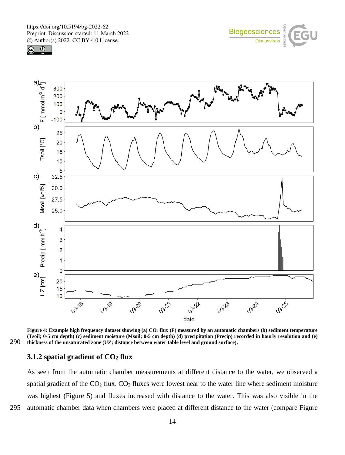





Figure 4: Example high frequency dataset showing (a) CO<sub>2</sub> flux (F) measured by an automatic chambers (b) sediment temperature **(Tsoil; 0-5 cm depth) (c) sediment moisture (Msoil; 0-5 cm depth) (d) precipitation (Precip) recorded in hourly resolution and (e)**  290 **thickness of the unsaturated zone (UZ; distance between water table level and ground surface).**

#### **3.1.2 spatial gradient of CO2 flux**

As seen from the automatic chamber measurements at different distance to the water, we observed a spatial gradient of the  $CO<sub>2</sub>$  flux.  $CO<sub>2</sub>$  fluxes were lowest near to the water line where sediment moisture was highest (Figure 5) and fluxes increased with distance to the water. This was also visible in the 295 automatic chamber data when chambers were placed at different distance to the water (compare Figure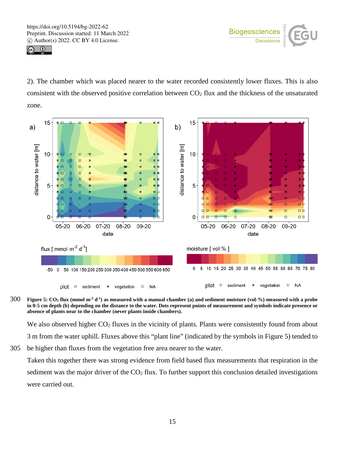



2). The chamber which was placed nearer to the water recorded consistently lower fluxes. This is also consistent with the observed positive correlation between  $CO<sub>2</sub>$  flux and the thickness of the unsaturated zone.



**Figure 5: CO2 flux (mmol m-2 d-1** 300 **) as measured with a manual chamber (a) and sediment moisture (vol-%) measured with a probe in 0-5 cm depth (b) depending on the distance to the water. Dots represent points of measurement and symbols indicate presence or absence of plants near to the chamber (never plants inside chambers).**

We also observed higher CO<sub>2</sub> fluxes in the vicinity of plants. Plants were consistently found from about 3 m from the water uphill. Fluxes above this "plant line" (indicated by the symbols in Figure 5) tended to

305 be higher than fluxes from the vegetation free area nearer to the water.

Taken this together there was strong evidence from field based flux measurements that respiration in the sediment was the major driver of the  $CO<sub>2</sub>$  flux. To further support this conclusion detailed investigations were carried out.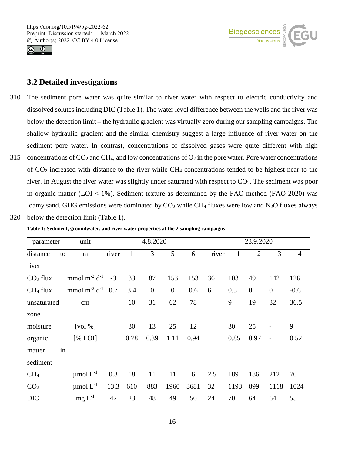



#### **3.2 Detailed investigations**

- 310 The sediment pore water was quite similar to river water with respect to electric conductivity and dissolved solutes including DIC (Table 1). The water level difference between the wells and the river was below the detection limit – the hydraulic gradient was virtually zero during our sampling campaigns. The shallow hydraulic gradient and the similar chemistry suggest a large influence of river water on the sediment pore water. In contrast, concentrations of dissolved gases were quite different with high 315 concentrations of  $CO_2$  and CH<sub>4</sub>, and low concentrations of  $O_2$  in the pore water. Pore water concentrations
- of  $CO<sub>2</sub>$  increased with distance to the river while  $CH<sub>4</sub>$  concentrations tended to be highest near to the river. In August the river water was slightly under saturated with respect to CO2. The sediment was poor in organic matter (LOI  $<$  1%). Sediment texture as determined by the FAO method (FAO 2020) was loamy sand. GHG emissions were dominated by  $CO<sub>2</sub>$  while CH<sub>4</sub> fluxes were low and N<sub>2</sub>O fluxes always

320 below the detection limit (Table 1).

| parameter            |    | unit                                      |       |              | 4.8.2020       |                |      |       |      | 23.9.2020      |                |                |
|----------------------|----|-------------------------------------------|-------|--------------|----------------|----------------|------|-------|------|----------------|----------------|----------------|
| distance             | to | m                                         | river | $\mathbf{1}$ | 3              | 5              | 6    | river | 1    | $\overline{2}$ | 3              | $\overline{4}$ |
| river                |    |                                           |       |              |                |                |      |       |      |                |                |                |
| CO <sub>2</sub> flux |    | mmol m <sup>-2</sup> d <sup>-1</sup> $-3$ |       | 33           | 87             | 153            | 153  | 36    | 103  | 49             | 142            | 126            |
| CH <sub>4</sub> flux |    | mmol m <sup>-2</sup> $d^{-1}$ 0.7         |       | 3.4          | $\overline{0}$ | $\overline{0}$ | 0.6  | 6     | 0.5  | $\overline{0}$ | $\overline{0}$ | $-0.6$         |
| unsaturated          |    | cm                                        |       | 10           | 31             | 62             | 78   |       | 9    | 19             | 32             | 36.5           |
| zone                 |    |                                           |       |              |                |                |      |       |      |                |                |                |
| moisture             |    | [vol $%$ ]                                |       | 30           | 13             | 25             | 12   |       | 30   | 25             |                | 9              |
| organic              |    | [% LOI]                                   |       | 0.78         | 0.39           | 1.11           | 0.94 |       | 0.85 | 0.97           | $\overline{a}$ | 0.52           |
| matter               | in |                                           |       |              |                |                |      |       |      |                |                |                |
| sediment             |    |                                           |       |              |                |                |      |       |      |                |                |                |
| CH <sub>4</sub>      |    | $\mu$ mol $L^{-1}$                        | 0.3   | 18           | 11             | 11             | 6    | 2.5   | 189  | 186            | 212            | 70             |
| CO <sub>2</sub>      |    | $\mu$ mol $L^{-1}$                        | 13.3  | 610          | 883            | 1960           | 3681 | 32    | 1193 | 899            | 1118           | 1024           |
| <b>DIC</b>           |    | $mg L^{-1}$                               | 42    | 23           | 48             | 49             | 50   | 24    | 70   | 64             | 64             | 55             |

**Table 1: Sediment, groundwater, and river water properties at the 2 sampling campaigns**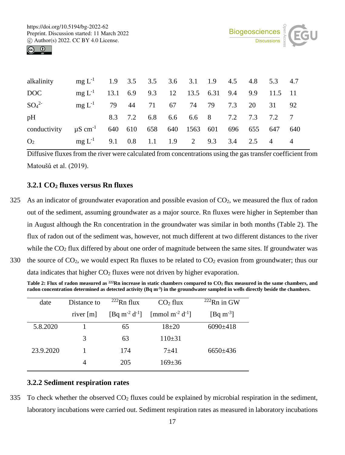

| alkalinity                                                                 | mg $L^{-1}$ 1.9 3.5 3.5 3.6 3.1 1.9 4.5 4.8 5.3 4.7   |         |  |                             |  |        |       |      |
|----------------------------------------------------------------------------|-------------------------------------------------------|---------|--|-----------------------------|--|--------|-------|------|
| DOC                                                                        | mg $L^{-1}$ 13.1 6.9 9.3 12 13.5 6.31 9.4 9.9 11.5 11 |         |  |                             |  |        |       |      |
| $SO_4^{2-}$                                                                | $mg L^{-1}$ 79 44 71 67 74 79                         |         |  |                             |  | 7.3 20 | 31 92 |      |
| pH                                                                         |                                                       | 8.3 7.2 |  | 6.8 6.6 6.6 8 7.2 7.3 7.2 7 |  |        |       |      |
| conductivity $\mu$ S cm <sup>-1</sup> 640 610 658 640 1563 601 696 655 647 |                                                       |         |  |                             |  |        |       | -640 |
| O <sub>2</sub>                                                             | mg $L^{-1}$ 9.1 0.8 1.1 1.9 2 9.3 3.4 2.5 4 4         |         |  |                             |  |        |       |      |

Diffusive fluxes from the river were calculated from concentrations using the gas transfer coefficient from Matoušů et al. (2019).

### **3.2.1 CO2 fluxes versus Rn fluxes**

325 As an indicator of groundwater evaporation and possible evasion of  $CO<sub>2</sub>$ , we measured the flux of radon out of the sediment, assuming groundwater as a major source. Rn fluxes were higher in September than in August although the Rn concentration in the groundwater was similar in both months (Table 2). The flux of radon out of the sediment was, however, not much different at two different distances to the river while the CO<sub>2</sub> flux differed by about one order of magnitude between the same sites. If groundwater was 330 the source of  $CO_2$ , we would expect Rn fluxes to be related to  $CO_2$  evasion from groundwater; thus our

data indicates that higher CO<sub>2</sub> fluxes were not driven by higher evaporation.

**Table 2: Flux of radon measured as 222Rn increase in static chambers compared to CO2 flux measured in the same chambers, and radon concentration determined as detected activity (Bq m-3) in the groundwater sampled in wells directly beside the chambers.**

| date      | Distance to | $222$ Rn flux  | CO <sub>2</sub> flux                    | $222$ Rn in GW       |  |
|-----------|-------------|----------------|-----------------------------------------|----------------------|--|
|           | river $[m]$ | $[Eq m-2 d-1]$ | [mmol m <sup>-2</sup> d <sup>-1</sup> ] | $[\text{Bq m}^{-3}]$ |  |
| 5.8.2020  |             | 65             | $18 + 20$                               | $6090\pm418$         |  |
|           | 3           | 63             | $110\pm31$                              |                      |  |
| 23.9.2020 |             | 174            | $7 + 41$                                | $6650\pm436$         |  |
|           | 4           | 205            | $169 \pm 36$                            |                      |  |

#### **3.2.2 Sediment respiration rates**

335 To check whether the observed  $CO<sub>2</sub>$  fluxes could be explained by microbial respiration in the sediment, laboratory incubations were carried out. Sediment respiration rates as measured in laboratory incubations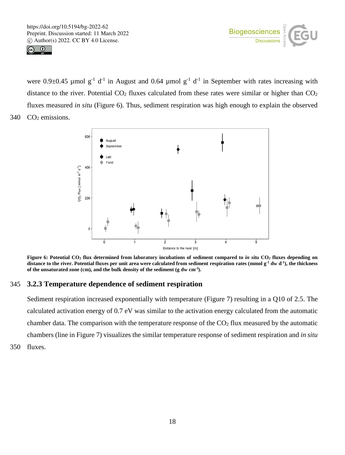



were  $0.9\pm0.45$  µmol g<sup>-1</sup> d<sup>-1</sup> in August and 0.64 µmol g<sup>-1</sup> d<sup>-1</sup> in September with rates increasing with distance to the river. Potential  $CO<sub>2</sub>$  fluxes calculated from these rates were similar or higher than  $CO<sub>2</sub>$ fluxes measured *in situ* (Figure 6). Thus, sediment respiration was high enough to explain the observed 340  $CO<sub>2</sub>$  emissions.



**Figure 6: Potential CO<sub>2</sub> flux determined from laboratory incubations of sediment compared to** *in situ* **CO<sub>2</sub> fluxes depending on** distance to the river. Potential fluxes per unit area were calculated from sediment respiration rates (mmol g<sup>-1</sup> dw d<sup>-1</sup>), the thickness **of the unsaturated zone (cm), and the bulk density of the sediment (g dw cm-3).**

## 345 **3.2.3 Temperature dependence of sediment respiration**

Sediment respiration increased exponentially with temperature (Figure 7) resulting in a Q10 of 2.5. The calculated activation energy of 0.7 eV was similar to the activation energy calculated from the automatic chamber data. The comparison with the temperature response of the  $CO<sub>2</sub>$  flux measured by the automatic chambers (line in Figure 7) visualizes the similar temperature response of sediment respiration and *in situ* 350 fluxes.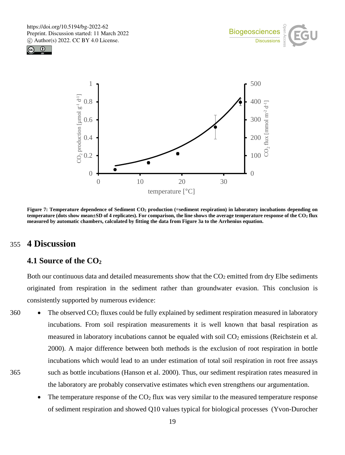





**Figure** 7: Temperature dependence of Sediment CO<sub>2</sub> production (=sediment respiration) in laboratory incubations depending on **temperature (dots show mean±SD of 4 replicates). For comparison, the line shows the average temperature response of the CO2 flux measured by automatic chambers, calculated by fitting the data from Figure 3a to the Arrhenius equation.**

## 355 **4 Discussion**

## **4.1 Source of the CO2**

Both our continuous data and detailed measurements show that the  $CO<sub>2</sub>$  emitted from dry Elbe sediments originated from respiration in the sediment rather than groundwater evasion. This conclusion is consistently supported by numerous evidence:

- 360 The observed  $CO_2$  fluxes could be fully explained by sediment respiration measured in laboratory incubations. From soil respiration measurements it is well known that basal respiration as measured in laboratory incubations cannot be equaled with soil  $CO<sub>2</sub>$  emissions (Reichstein et al. 2000). A major difference between both methods is the exclusion of root respiration in bottle incubations which would lead to an under estimation of total soil respiration in root free assays 365 such as bottle incubations (Hanson et al. 2000). Thus, our sediment respiration rates measured in the laboratory are probably conservative estimates which even strengthens our argumentation.
	- The temperature response of the  $CO<sub>2</sub>$  flux was very similar to the measured temperature response of sediment respiration and showed Q10 values typical for biological processes (Yvon-Durocher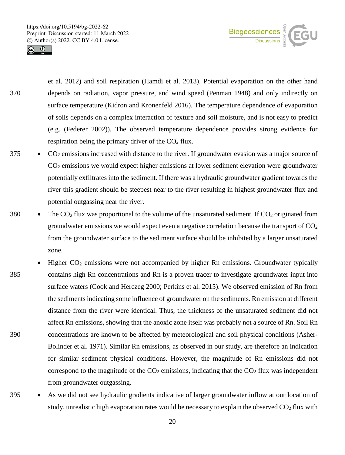

et al. 2012) and soil respiration (Hamdi et al. 2013). Potential evaporation on the other hand 370 depends on radiation, vapor pressure, and wind speed (Penman 1948) and only indirectly on surface temperature (Kidron and Kronenfeld 2016). The temperature dependence of evaporation of soils depends on a complex interaction of texture and soil moisture, and is not easy to predict (e.g. (Federer 2002)). The observed temperature dependence provides strong evidence for respiration being the primary driver of the  $CO<sub>2</sub>$  flux.

Biogeosciences

- 375 CO2 emissions increased with distance to the river. If groundwater evasion was a major source of CO2 emissions we would expect higher emissions at lower sediment elevation were groundwater potentially exfiltrates into the sediment. If there was a hydraulic groundwater gradient towards the river this gradient should be steepest near to the river resulting in highest groundwater flux and potential outgassing near the river.
- 380 The  $CO_2$  flux was proportional to the volume of the unsaturated sediment. If  $CO_2$  originated from groundwater emissions we would expect even a negative correlation because the transport of  $CO<sub>2</sub>$ from the groundwater surface to the sediment surface should be inhibited by a larger unsaturated zone.
- Higher  $CO<sub>2</sub>$  emissions were not accompanied by higher Rn emissions. Groundwater typically 385 contains high Rn concentrations and Rn is a proven tracer to investigate groundwater input into surface waters (Cook and Herczeg 2000; Perkins et al. 2015). We observed emission of Rn from the sediments indicating some influence of groundwater on the sediments. Rn emission at different distance from the river were identical. Thus, the thickness of the unsaturated sediment did not affect Rn emissions, showing that the anoxic zone itself was probably not a source of Rn. Soil Rn 390 concentrations are known to be affected by meteorological and soil physical conditions (Asher-Bolinder et al. 1971). Similar Rn emissions, as observed in our study, are therefore an indication for similar sediment physical conditions. However, the magnitude of Rn emissions did not correspond to the magnitude of the  $CO<sub>2</sub>$  emissions, indicating that the  $CO<sub>2</sub>$  flux was independent from groundwater outgassing.
- 395 As we did not see hydraulic gradients indicative of larger groundwater inflow at our location of study, unrealistic high evaporation rates would be necessary to explain the observed  $CO<sub>2</sub>$  flux with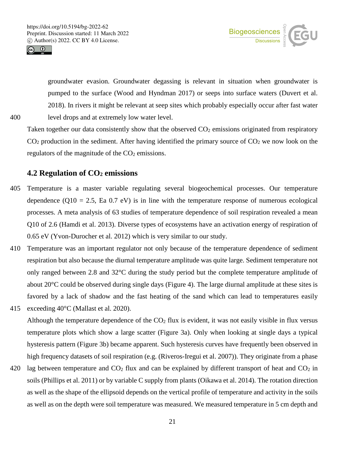



groundwater evasion. Groundwater degassing is relevant in situation when groundwater is pumped to the surface (Wood and Hyndman 2017) or seeps into surface waters (Duvert et al. 2018). In rivers it might be relevant at seep sites which probably especially occur after fast water 400 level drops and at extremely low water level.

Taken together our data consistently show that the observed  $CO<sub>2</sub>$  emissions originated from respiratory  $CO<sub>2</sub>$  production in the sediment. After having identified the primary source of  $CO<sub>2</sub>$  we now look on the regulators of the magnitude of the  $CO<sub>2</sub>$  emissions.

#### **4.2 Regulation of CO2 emissions**

- 405 Temperature is a master variable regulating several biogeochemical processes. Our temperature dependence ( $Q10 = 2.5$ , Ea 0.7 eV) is in line with the temperature response of numerous ecological processes. A meta analysis of 63 studies of temperature dependence of soil respiration revealed a mean Q10 of 2.6 (Hamdi et al. 2013). Diverse types of ecosystems have an activation energy of respiration of 0.65 eV (Yvon-Durocher et al. 2012) which is very similar to our study.
- 410 Temperature was an important regulator not only because of the temperature dependence of sediment respiration but also because the diurnal temperature amplitude was quite large. Sediment temperature not only ranged between 2.8 and 32°C during the study period but the complete temperature amplitude of about 20°C could be observed during single days (Figure 4). The large diurnal amplitude at these sites is favored by a lack of shadow and the fast heating of the sand which can lead to temperatures easily
- 415 exceeding 40°C (Mallast et al. 2020). Although the temperature dependence of the  $CO<sub>2</sub>$  flux is evident, it was not easily visible in flux versus temperature plots which show a large scatter (Figure 3a). Only when looking at single days a typical hysteresis pattern (Figure 3b) became apparent. Such hysteresis curves have frequently been observed in high frequency datasets of soil respiration (e.g. (Riveros-Iregui et al. 2007)). They originate from a phase
- 420 lag between temperature and  $CO<sub>2</sub>$  flux and can be explained by different transport of heat and  $CO<sub>2</sub>$  in soils (Phillips et al. 2011) or by variable C supply from plants (Oikawa et al. 2014). The rotation direction as well as the shape of the ellipsoid depends on the vertical profile of temperature and activity in the soils as well as on the depth were soil temperature was measured. We measured temperature in 5 cm depth and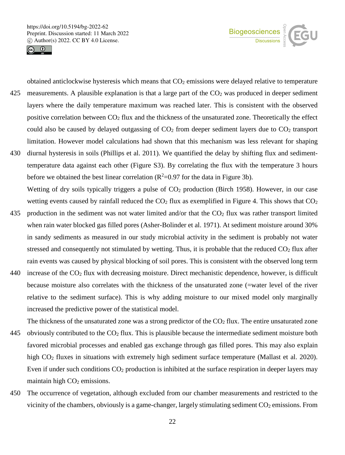



obtained anticlockwise hysteresis which means that  $CO<sub>2</sub>$  emissions were delayed relative to temperature 425 measurements. A plausible explanation is that a large part of the  $CO<sub>2</sub>$  was produced in deeper sediment layers where the daily temperature maximum was reached later. This is consistent with the observed positive correlation between  $CO<sub>2</sub>$  flux and the thickness of the unsaturated zone. Theoretically the effect could also be caused by delayed outgassing of  $CO<sub>2</sub>$  from deeper sediment layers due to  $CO<sub>2</sub>$  transport limitation. However model calculations had shown that this mechanism was less relevant for shaping 430 diurnal hysteresis in soils (Phillips et al. 2011). We quantified the delay by shifting flux and sediment-

- temperature data against each other (Figure S3). By correlating the flux with the temperature 3 hours before we obtained the best linear correlation  $(R^2=0.97)$  for the data in Figure 3b). Wetting of dry soils typically triggers a pulse of  $CO<sub>2</sub>$  production (Birch 1958). However, in our case wetting events caused by rainfall reduced the  $CO<sub>2</sub>$  flux as exemplified in Figure 4. This shows that  $CO<sub>2</sub>$
- 435 production in the sediment was not water limited and/or that the  $CO<sub>2</sub>$  flux was rather transport limited when rain water blocked gas filled pores (Asher-Bolinder et al. 1971). At sediment moisture around 30% in sandy sediments as measured in our study microbial activity in the sediment is probably not water stressed and consequently not stimulated by wetting. Thus, it is probable that the reduced  $CO<sub>2</sub>$  flux after rain events was caused by physical blocking of soil pores. This is consistent with the observed long term
- 440 increase of the  $CO<sub>2</sub>$  flux with decreasing moisture. Direct mechanistic dependence, however, is difficult because moisture also correlates with the thickness of the unsaturated zone (=water level of the river relative to the sediment surface). This is why adding moisture to our mixed model only marginally increased the predictive power of the statistical model.
- The thickness of the unsaturated zone was a strong predictor of the  $CO<sub>2</sub>$  flux. The entire unsaturated zone 445 obviously contributed to the  $CO<sub>2</sub>$  flux. This is plausible because the intermediate sediment moisture both favored microbial processes and enabled gas exchange through gas filled pores. This may also explain high CO<sub>2</sub> fluxes in situations with extremely high sediment surface temperature (Mallast et al. 2020). Even if under such conditions  $CO<sub>2</sub>$  production is inhibited at the surface respiration in deeper layers may maintain high  $CO<sub>2</sub>$  emissions.
- 450 The occurrence of vegetation, although excluded from our chamber measurements and restricted to the vicinity of the chambers, obviously is a game-changer, largely stimulating sediment  $CO<sub>2</sub>$  emissions. From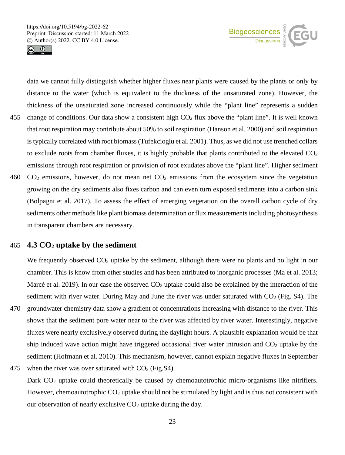



data we cannot fully distinguish whether higher fluxes near plants were caused by the plants or only by distance to the water (which is equivalent to the thickness of the unsaturated zone). However, the thickness of the unsaturated zone increased continuously while the "plant line" represents a sudden

- 455 change of conditions. Our data show a consistent high  $CO<sub>2</sub>$  flux above the "plant line". It is well known that root respiration may contribute about 50% to soil respiration (Hanson et al. 2000) and soil respiration is typically correlated with root biomass (Tufekcioglu et al. 2001). Thus, as we did not use trenched collars to exclude roots from chamber fluxes, it is highly probable that plants contributed to the elevated  $CO<sub>2</sub>$ emissions through root respiration or provision of root exudates above the "plant line". Higher sediment
- 460  $CO<sub>2</sub>$  emissions, however, do not mean net  $CO<sub>2</sub>$  emissions from the ecosystem since the vegetation growing on the dry sediments also fixes carbon and can even turn exposed sediments into a carbon sink (Bolpagni et al. 2017). To assess the effect of emerging vegetation on the overall carbon cycle of dry sediments other methods like plant biomass determination or flux measurements including photosynthesis in transparent chambers are necessary.

#### 465 **4.3 CO2 uptake by the sediment**

We frequently observed  $CO<sub>2</sub>$  uptake by the sediment, although there were no plants and no light in our chamber. This is know from other studies and has been attributed to inorganic processes (Ma et al. 2013; Marcé et al. 2019). In our case the observed  $CO<sub>2</sub>$  uptake could also be explained by the interaction of the sediment with river water. During May and June the river was under saturated with  $CO<sub>2</sub>$  (Fig. S4). The

- 470 groundwater chemistry data show a gradient of concentrations increasing with distance to the river. This shows that the sediment pore water near to the river was affected by river water. Interestingly, negative fluxes were nearly exclusively observed during the daylight hours. A plausible explanation would be that ship induced wave action might have triggered occasional river water intrusion and  $CO<sub>2</sub>$  uptake by the sediment (Hofmann et al. 2010). This mechanism, however, cannot explain negative fluxes in September
- 475 when the river was over saturated with  $CO<sub>2</sub>$  (Fig.S4). Dark CO<sub>2</sub> uptake could theoretically be caused by chemoautotrophic micro-organisms like nitrifiers. However, chemoautotrophic  $CO<sub>2</sub>$  uptake should not be stimulated by light and is thus not consistent with our observation of nearly exclusive  $CO<sub>2</sub>$  uptake during the day.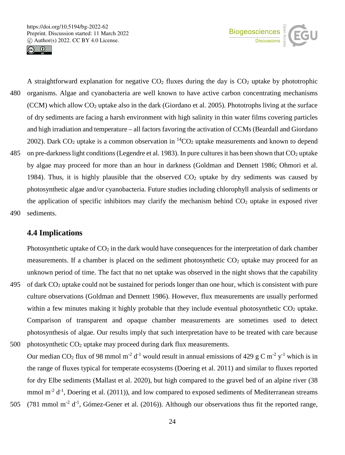



A straightforward explanation for negative  $CO<sub>2</sub>$  fluxes during the day is  $CO<sub>2</sub>$  uptake by phototrophic 480 organisms. Algae and cyanobacteria are well known to have active carbon concentrating mechanisms (CCM) which allow CO2 uptake also in the dark (Giordano et al. 2005). Phototrophs living at the surface of dry sediments are facing a harsh environment with high salinity in thin water films covering particles and high irradiation and temperature – all factors favoring the activation of CCMs (Beardall and Giordano 2002). Dark  $CO<sub>2</sub>$  uptake is a common observation in  ${}^{14}CO<sub>2</sub>$  uptake measurements and known to depend 485 on pre-darkness light conditions (Legendre et al. 1983). In pure cultures it has been shown that  $CO<sub>2</sub>$  uptake by algae may proceed for more than an hour in darkness (Goldman and Dennett 1986; Ohmori et al. 1984). Thus, it is highly plausible that the observed  $CO<sub>2</sub>$  uptake by dry sediments was caused by photosynthetic algae and/or cyanobacteria. Future studies including chlorophyll analysis of sediments or the application of specific inhibitors may clarify the mechanism behind  $CO<sub>2</sub>$  uptake in exposed river 490 sediments.

#### **4.4 Implications**

Photosynthetic uptake of  $CO<sub>2</sub>$  in the dark would have consequences for the interpretation of dark chamber measurements. If a chamber is placed on the sediment photosynthetic  $CO<sub>2</sub>$  uptake may proceed for an unknown period of time. The fact that no net uptake was observed in the night shows that the capability

- 495 of dark CO2 uptake could not be sustained for periods longer than one hour, which is consistent with pure culture observations (Goldman and Dennett 1986). However, flux measurements are usually performed within a few minutes making it highly probable that they include eventual photosynthetic  $CO<sub>2</sub>$  uptake. Comparison of transparent and opaque chamber measurements are sometimes used to detect photosynthesis of algae. Our results imply that such interpretation have to be treated with care because 500 photosynthetic  $CO<sub>2</sub>$  uptake may proceed during dark flux measurements.
- Our median CO<sub>2</sub> flux of 98 mmol m<sup>-2</sup> d<sup>-1</sup> would result in annual emissions of 429 g C m<sup>-2</sup> y<sup>-1</sup> which is in the range of fluxes typical for temperate ecosystems (Doering et al. 2011) and similar to fluxes reported for dry Elbe sediments (Mallast et al. 2020), but high compared to the gravel bed of an alpine river (38 mmol  $m^{-2} d^{-1}$ , Doering et al. (2011)), and low compared to exposed sediments of Mediterranean streams
- 505 (781 mmol m<sup>-2</sup> d<sup>-1</sup>, Gómez-Gener et al. (2016)). Although our observations thus fit the reported range,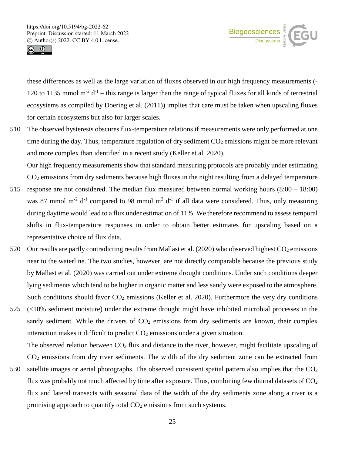



these differences as well as the large variation of fluxes observed in our high frequency measurements (- 120 to 1135 mmol  $m^{-2} d^{-1}$  – this range is larger than the range of typical fluxes for all kinds of terrestrial ecosystems as compiled by Doering et al. (2011)) implies that care must be taken when upscaling fluxes for certain ecosystems but also for larger scales.

510 The observed hysteresis obscures flux-temperature relations if measurements were only performed at one time during the day. Thus, temperature regulation of dry sediment  $CO<sub>2</sub>$  emissions might be more relevant and more complex than identified in a recent study (Keller et al. 2020).

Our high frequency measurements show that standard measuring protocols are probably under estimating CO2 emissions from dry sediments because high fluxes in the night resulting from a delayed temperature

- 515 response are not considered. The median flux measured between normal working hours (8:00 18:00) was 87 mmol m<sup>-2</sup> d<sup>-1</sup> compared to 98 mmol m<sup>2</sup> d<sup>-1</sup> if all data were considered. Thus, only measuring during daytime would lead to a flux under estimation of 11%. We therefore recommend to assess temporal shifts in flux-temperature responses in order to obtain better estimates for upscaling based on a representative choice of flux data.
- 520 Our results are partly contradicting results from Mallast et al.  $(2020)$  who observed highest  $CO<sub>2</sub>$  emissions near to the waterline. The two studies, however, are not directly comparable because the previous study by Mallast et al. (2020) was carried out under extreme drought conditions. Under such conditions deeper lying sediments which tend to be higher in organic matter and less sandy were exposed to the atmosphere. Such conditions should favor  $CO<sub>2</sub>$  emissions (Keller et al. 2020). Furthermore the very dry conditions
- 525 (<10% sediment moisture) under the extreme drought might have inhibited microbial processes in the sandy sediment. While the drivers of  $CO<sub>2</sub>$  emissions from dry sediments are known, their complex interaction makes it difficult to predict  $CO<sub>2</sub>$  emissions under a given situation.

The observed relation between  $CO<sub>2</sub>$  flux and distance to the river, however, might facilitate upscaling of CO2 emissions from dry river sediments. The width of the dry sediment zone can be extracted from

530 satellite images or aerial photographs. The observed consistent spatial pattern also implies that the  $CO<sub>2</sub>$ flux was probably not much affected by time after exposure. Thus, combining few diurnal datasets of  $CO<sub>2</sub>$ flux and lateral transects with seasonal data of the width of the dry sediments zone along a river is a promising approach to quantify total CO<sub>2</sub> emissions from such systems.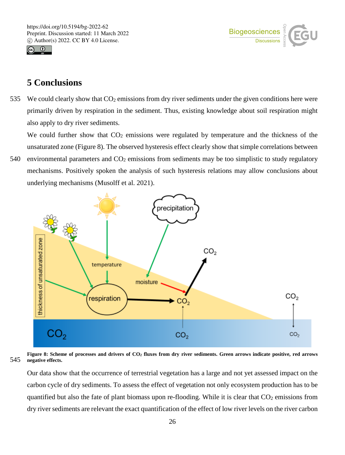



## **5 Conclusions**

535 We could clearly show that  $CO<sub>2</sub>$  emissions from dry river sediments under the given conditions here were primarily driven by respiration in the sediment. Thus, existing knowledge about soil respiration might also apply to dry river sediments.

We could further show that  $CO<sub>2</sub>$  emissions were regulated by temperature and the thickness of the unsaturated zone (Figure 8). The observed hysteresis effect clearly show that simple correlations between

540 environmental parameters and  $CO<sub>2</sub>$  emissions from sediments may be too simplistic to study regulatory mechanisms. Positively spoken the analysis of such hysteresis relations may allow conclusions about underlying mechanisms (Musolff et al. 2021).



**Figure 8: Scheme of processes and drivers of CO2 fluxes from dry river sediments. Green arrows indicate positive, red arrows**  545 **negative effects.**

Our data show that the occurrence of terrestrial vegetation has a large and not yet assessed impact on the carbon cycle of dry sediments. To assess the effect of vegetation not only ecosystem production has to be quantified but also the fate of plant biomass upon re-flooding. While it is clear that  $CO<sub>2</sub>$  emissions from dry river sediments are relevant the exact quantification of the effect of low river levels on the river carbon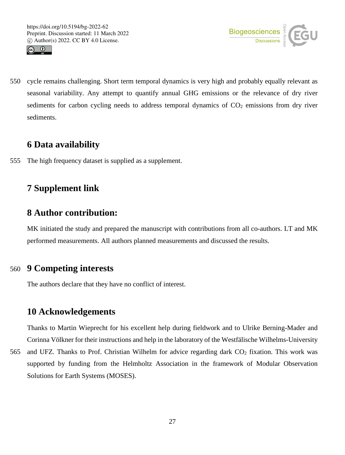



550 cycle remains challenging. Short term temporal dynamics is very high and probably equally relevant as seasonal variability. Any attempt to quantify annual GHG emissions or the relevance of dry river sediments for carbon cycling needs to address temporal dynamics of  $CO<sub>2</sub>$  emissions from dry river sediments.

## **6 Data availability**

555 The high frequency dataset is supplied as a supplement.

## **7 Supplement link**

## **8 Author contribution:**

MK initiated the study and prepared the manuscript with contributions from all co-authors. LT and MK performed measurements. All authors planned measurements and discussed the results.

## 560 **9 Competing interests**

The authors declare that they have no conflict of interest.

## **10 Acknowledgements**

Thanks to Martin Wieprecht for his excellent help during fieldwork and to Ulrike Berning-Mader and Corinna Völkner for their instructions and help in the laboratory of the Westfälische Wilhelms-University

565 and UFZ. Thanks to Prof. Christian Wilhelm for advice regarding dark CO<sub>2</sub> fixation. This work was supported by funding from the Helmholtz Association in the framework of Modular Observation Solutions for Earth Systems (MOSES).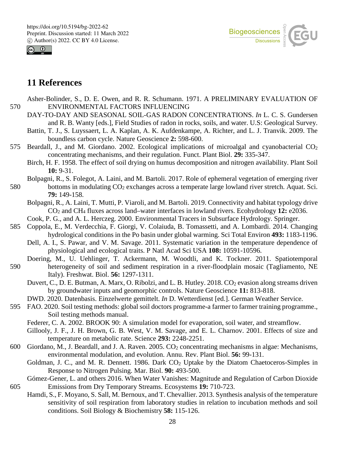



## **11 References**

- Asher-Bolinder, S., D. E. Owen, and R. R. Schumann. 1971. A PRELIMINARY EVALUATION OF 570 ENVIRONMENTAL FACTORS INFLUENCING
	- DAY-TO-DAY AND SEASONAL SOIL-GAS RADON CONCENTRATIONS. *In* L. C. S. Gundersen and R. B. Wanty [eds.], Field Studies of radon in rocks, soils, and water. U.S: Geological Survey.
	- Battin, T. J., S. Luyssaert, L. A. Kaplan, A. K. Aufdenkampe, A. Richter, and L. J. Tranvik. 2009. The boundless carbon cycle. Nature Geoscience **2:** 598-600.
- 575 Beardall, J., and M. Giordano. 2002. Ecological implications of microalgal and cyanobacterial CO<sub>2</sub> concentrating mechanisms, and their regulation. Funct. Plant Biol. **29:** 335-347.
	- Birch, H. F. 1958. The effect of soil drying on humus decomposition and nitrogen availability. Plant Soil **10:** 9-31.
- Bolpagni, R., S. Folegot, A. Laini, and M. Bartoli. 2017. Role of ephemeral vegetation of emerging river 580 bottoms in modulating CO2 exchanges across a temperate large lowland river stretch. Aquat. Sci. **79:** 149-158.
	- Bolpagni, R., A. Laini, T. Mutti, P. Viaroli, and M. Bartoli. 2019. Connectivity and habitat typology drive CO2 and CH4 fluxes across land–water interfaces in lowland rivers. Ecohydrology **12:** e2036.
	- Cook, P. G., and A. L. Herczeg. 2000. Environmental Tracers in Subsurface Hydrology. Springer.
- 585 Coppola, E., M. Verdecchia, F. Giorgi, V. Colaiuda, B. Tomassetti, and A. Lombardi. 2014. Changing hydrological conditions in the Po basin under global warming. Sci Total Environ **493:** 1183-1196.
	- Dell, A. I., S. Pawar, and V. M. Savage. 2011. Systematic variation in the temperature dependence of physiological and ecological traits. P Natl Acad Sci USA **108:** 10591-10596.
- Doering, M., U. Uehlinger, T. Ackermann, M. Woodtli, and K. Tockner. 2011. Spatiotemporal 590 heterogeneity of soil and sediment respiration in a river-floodplain mosaic (Tagliamento, NE Italy). Freshwat. Biol. **56:** 1297-1311.
	- Duvert, C., D. E. Butman, A. Marx, O. Ribolzi, and L. B. Hutley. 2018. CO<sub>2</sub> evasion along streams driven by groundwater inputs and geomorphic controls. Nature Geoscience **11:** 813-818.
	- DWD. 2020. Datenbasis. Einzelwerte gemittelt. *In* D. Wetterdienst [ed.]. German Weather Service.
- 595 FAO. 2020. Soil testing methods: global soil doctors programme-a farmer to farmer training programme., Soil testing methods manual.
	- Federer, C. A. 2002. BROOK 90: A simulation model for evaporation, soil water, and streamflow.
	- Gillooly, J. F., J. H. Brown, G. B. West, V. M. Savage, and E. L. Charnov. 2001. Effects of size and temperature on metabolic rate. Science **293:** 2248-2251.
- 600 Giordano, M., J. Beardall, and J. A. Raven. 2005. CO2 concentrating mechanisms in algae: Mechanisms, environmental modulation, and evolution. Annu. Rev. Plant Biol. **56:** 99-131.
	- Goldman, J. C., and M. R. Dennett. 1986. Dark  $CO<sub>2</sub>$  Uptake by the Diatom Chaetoceros-Simples in Response to Nitrogen Pulsing. Mar. Biol. **90:** 493-500.
- Gómez-Gener, L. and others 2016. When Water Vanishes: Magnitude and Regulation of Carbon Dioxide 605 Emissions from Dry Temporary Streams. Ecosystems **19:** 710-723.
	- Hamdi, S., F. Moyano, S. Sall, M. Bernoux, and T. Chevallier. 2013. Synthesis analysis of the temperature sensitivity of soil respiration from laboratory studies in relation to incubation methods and soil conditions. Soil Biology & Biochemistry **58:** 115-126.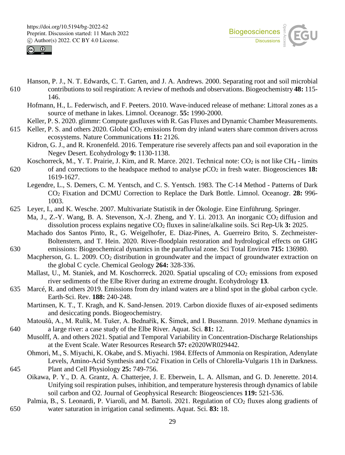



- Hanson, P. J., N. T. Edwards, C. T. Garten, and J. A. Andrews. 2000. Separating root and soil microbial 610 contributions to soil respiration: A review of methods and observations. Biogeochemistry **48:** 115- 146.
	- Hofmann, H., L. Federwisch, and F. Peeters. 2010. Wave-induced release of methane: Littoral zones as a source of methane in lakes. Limnol. Oceanogr. **55:** 1990-2000.
	- Keller, P. S. 2020. glimmr: Compute gasfluxes with R. Gas Fluxes and Dynamic Chamber Measurements.
- 615 Keller, P. S. and others 2020. Global CO2 emissions from dry inland waters share common drivers across ecosystems. Nature Communications **11:** 2126.
	- Kidron, G. J., and R. Kronenfeld. 2016. Temperature rise severely affects pan and soil evaporation in the Negev Desert. Ecohydrology **9:** 1130-1138.
- Koschorreck, M., Y. T. Prairie, J. Kim, and R. Marce. 2021. Technical note:  $CO_2$  is not like CH<sub>4</sub> limits 620 of and corrections to the headspace method to analyse pCO2 in fresh water. Biogeosciences **18:**  1619-1627.
	- Legendre, L., S. Demers, C. M. Yentsch, and C. S. Yentsch. 1983. The C-14 Method Patterns of Dark CO2 Fixation and DCMU Correction to Replace the Dark Bottle. Limnol. Oceanogr. **28:** 996- 1003.
- 625 Leyer, I., and K. Wesche. 2007. Multivariate Statistik in der Ökologie. Eine Einführung. Springer.
	- Ma, J., Z.-Y. Wang, B. A. Stevenson, X.-J. Zheng, and Y. Li. 2013. An inorganic CO<sub>2</sub> diffusion and dissolution process explains negative CO2 fluxes in saline/alkaline soils. Sci Rep-Uk **3:** 2025.
- Machado dos Santos Pinto, R., G. Weigelhofer, E. Diaz-Pines, A. Guerreiro Brito, S. Zechmeister-Boltenstern, and T. Hein. 2020. River-floodplain restoration and hydrological effects on GHG 630 emissions: Biogeochemical dynamics in the parafluvial zone. Sci Total Environ **715:** 136980.
	- Macpherson, G. L. 2009. CO<sub>2</sub> distribution in groundwater and the impact of groundwater extraction on the global C cycle. Chemical Geology **264:** 328-336.
	- Mallast, U., M. Staniek, and M. Koschorreck. 2020. Spatial upscaling of CO<sub>2</sub> emissions from exposed river sediments of the Elbe River during an extreme drought. Ecohydrology **13**.
- 635 Marcé, R. and others 2019. Emissions from dry inland waters are a blind spot in the global carbon cycle. Earth-Sci. Rev. **188:** 240-248.
	- Martinsen, K. T., T. Kragh, and K. Sand-Jensen. 2019. Carbon dioxide fluxes of air-exposed sediments and desiccating ponds. Biogeochemistry.
- Matoušů, A., M. Rulík, M. Tušer, A. Bednařík, K. Šimek, and I. Bussmann. 2019. Methane dynamics in 640 a large river: a case study of the Elbe River. Aquat. Sci. **81:** 12.
	- Musolff, A. and others 2021. Spatial and Temporal Variability in Concentration-Discharge Relationships at the Event Scale. Water Resources Research **57:** e2020WR029442.
- Ohmori, M., S. Miyachi, K. Okabe, and S. Miyachi. 1984. Effects of Ammonia on Respiration, Adenylate Levels, Amino-Acid Synthesis and Co2 Fixation in Cells of Chlorella-Vulgaris 11h in Darkness. 645 Plant and Cell Physiology **25:** 749-756.
- Oikawa, P. Y., D. A. Grantz, A. Chatterjee, J. E. Eberwein, L. A. Allsman, and G. D. Jenerette. 2014. Unifying soil respiration pulses, inhibition, and temperature hysteresis through dynamics of labile soil carbon and O2. Journal of Geophysical Research: Biogeosciences **119:** 521-536.
- Palmia, B., S. Leonardi, P. Viaroli, and M. Bartoli. 2021. Regulation of CO<sub>2</sub> fluxes along gradients of 650 water saturation in irrigation canal sediments. Aquat. Sci. **83:** 18.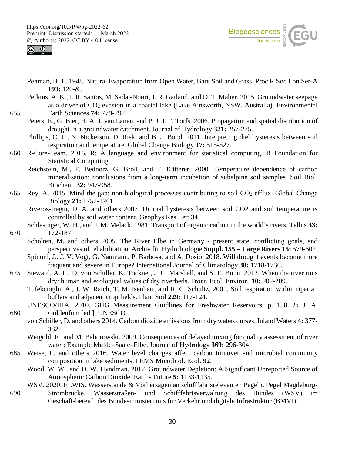



- Penman, H. L. 1948. Natural Evaporation from Open Water, Bare Soil and Grass. Proc R Soc Lon Ser-A **193:** 120-&.
- Perkins, A. K., I. R. Santos, M. Sadat-Noori, J. R. Gatland, and D. T. Maher. 2015. Groundwater seepage as a driver of CO<sub>2</sub> evasion in a coastal lake (Lake Ainsworth, NSW, Australia). Environmental 655 Earth Sciences **74:** 779-792.
	- Peters, E., G. Bier, H. A. J. van Lanen, and P. J. J. F. Torfs. 2006. Propagation and spatial distribution of drought in a groundwater catchment. Journal of Hydrology **321:** 257-275.
		- Phillips, C. L., N. Nickerson, D. Risk, and B. J. Bond. 2011. Interpreting diel hysteresis between soil respiration and temperature. Global Change Biology **17:** 515-527.
- 660 R-Core-Team. 2016. R: A language and environment for statistical computing. R Foundation for Statistical Computing.
	- Reichstein, M., F. Bednorz, G. Broll, and T. Kätterer. 2000. Temperature dependence of carbon mineralisation: conclusions from a long-term incubation of subalpine soil samples. Soil Biol. Biochem. **32:** 947-958.
- 665 Rey, A. 2015. Mind the gap: non-biological processes contributing to soil  $CO<sub>2</sub>$  efflux. Global Change Biology **21:** 1752-1761.
	- Riveros-Iregui, D. A. and others 2007. Diurnal hysteresis between soil CO2 and soil temperature is controlled by soil water content. Geophys Res Lett **34**.
- Schlesinger, W. H., and J. M. Melack. 1981. Transport of organic carbon in the world's rivers. Tellus **33:**  670 172-187.
	- Scholten, M. and others 2005. The River Elbe in Germany present state, conflicting goals, and perspectives of rehabilitation. Archiv für Hydrobiologie **Suppl. 155 = Large Rivers 15:** 579-602.
		- Spinoni, J., J. V. Vogt, G. Naumann, P. Barbosa, and A. Dosio. 2018. Will drought events become more frequent and severe in Europe? International Journal of Climatology **38:** 1718-1736.
- 675 Steward, A. L., D. von Schiller, K. Tockner, J. C. Marshall, and S. E. Bunn. 2012. When the river runs dry: human and ecological values of dry riverbeds. Front. Ecol. Environ. **10:** 202-209.
	- Tufekcioglu, A., J. W. Raich, T. M. Isenhart, and R. C. Schultz. 2001. Soil respiration within riparian buffers and adjacent crop fields. Plant Soil **229:** 117-124.
- UNESCO/IHA. 2010. GHG Measurement Guidlines for Freshwater Reservoirs, p. 138. *In* J. A. 680 Goldenfum [ed.]. UNESCO.
	- von Schiller, D. and others 2014. Carbon dioxide emissions from dry watercourses. Inland Waters **4:** 377- 382.
		- Weigold, F., and M. Baborowski. 2009. Consequences of delayed mixing for quality assessment of river water: Example Mulde–Saale–Elbe. Journal of Hydrology **369:** 296-304.
- 685 Weise, L. and others 2016. Water level changes affect carbon turnover and microbial community composition in lake sediments. FEMS Microbiol. Ecol. **92**.
	- Wood, W. W., and D. W. Hyndman. 2017. Groundwater Depletion: A Significant Unreported Source of Atmospheric Carbon Dioxide. Earths Future **5:** 1133-1135.
- WSV. 2020. ELWIS. Wasserstände & Vorhersagen an schifffahrtsrelevanten Pegeln. Pegel Magdeburg-690 Strombrücke. Wasserstraßen- und Schifffahrtsverwaltung des Bundes (WSV) im Geschäftsbereich des Bundesministeriums für Verkehr und digitale Infrastruktur (BMVI).

30